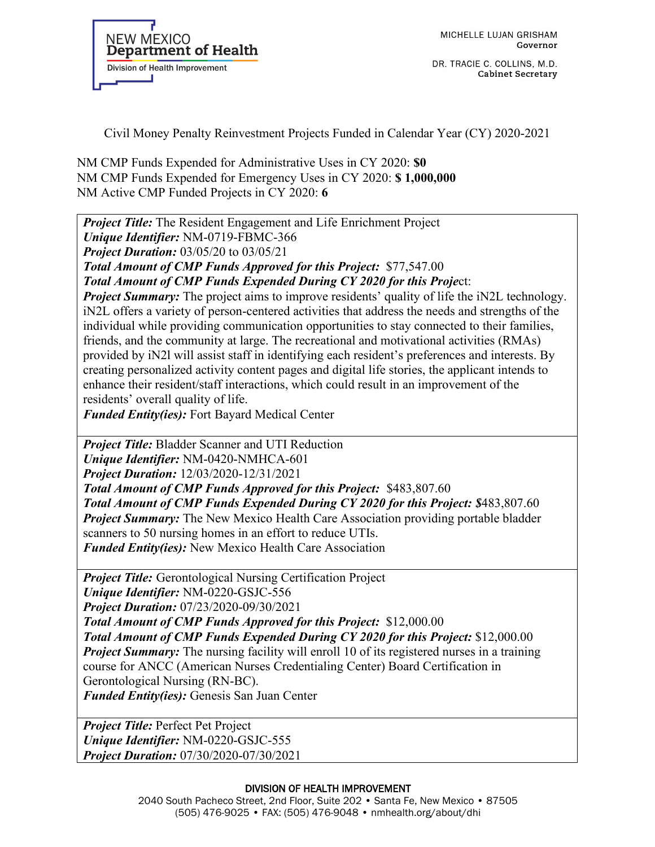Civil Money Penalty Reinvestment Projects Funded in Calendar Year (CY) 2020-2021

NM CMP Funds Expended for Administrative Uses in CY 2020: **\$0**  NM CMP Funds Expended for Emergency Uses in CY 2020: **\$ 1,000,000**  NM Active CMP Funded Projects in CY 2020: **6**

*Project Title:* The Resident Engagement and Life Enrichment Project *Unique Identifier:* NM-0719-FBMC-366

*Project Duration:* 03/05/20 to 03/05/21

*Total Amount of CMP Funds Approved for this Project:* \$77,547.00

*Total Amount of CMP Funds Expended During CY 2020 for this Proje*ct:

*Project Summary:* The project aims to improve residents' quality of life the iN2L technology. iN2L offers a variety of person-centered activities that address the needs and strengths of the individual while providing communication opportunities to stay connected to their families, friends, and the community at large. The recreational and motivational activities (RMAs) provided by iN2l will assist staff in identifying each resident's preferences and interests. By creating personalized activity content pages and digital life stories, the applicant intends to enhance their resident/staff interactions, which could result in an improvement of the residents' overall quality of life.

*Funded Entity(ies):* Fort Bayard Medical Center

*Project Title:* Bladder Scanner and UTI Reduction *Unique Identifier:* NM-0420-NMHCA-601 *Project Duration:* 12/03/2020-12/31/2021 *Total Amount of CMP Funds Approved for this Project:* \$483,807.60 *Total Amount of CMP Funds Expended During CY 2020 for this Project: \$*483,807.60 *Project Summary:* The New Mexico Health Care Association providing portable bladder scanners to 50 nursing homes in an effort to reduce UTIs. *Funded Entity(ies):* New Mexico Health Care Association

*Project Title:* Gerontological Nursing Certification Project *Unique Identifier:* NM-0220-GSJC-556

*Project Duration:* 07/23/2020-09/30/2021

*Total Amount of CMP Funds Approved for this Project:* \$12,000.00

*Total Amount of CMP Funds Expended During CY 2020 for this Project:* \$12,000.00 *Project Summary:* The nursing facility will enroll 10 of its registered nurses in a training course for ANCC (American Nurses Credentialing Center) Board Certification in Gerontological Nursing (RN-BC).

*Funded Entity(ies):* Genesis San Juan Center

*Project Title:* Perfect Pet Project *Unique Identifier:* NM-0220-GSJC-555 *Project Duration:* 07/30/2020-07/30/2021